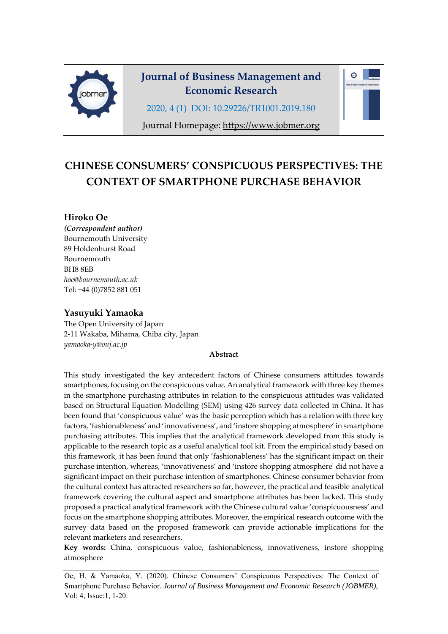

# **Journal of Business Management and Economic Research**

 $\triangle$ 

2020, 4 (1) DOI: 10.29226/TR1001.2019.180

Journal Homepage: https://www.jobmer.org

# **CHINESE CONSUMERS' CONSPICUOUS PERSPECTIVES: THE CONTEXT OF SMARTPHONE PURCHASE BEHAVIOR**

### **Hiroko Oe**

*(Correspondent author)*  Bournemouth University 89 Holdenhurst Road Bournemouth BH8 8EB *hoe@bournemouth.ac.uk* Tel: +44 (0)7852 881 051

### **Yasuyuki Yamaoka**

The Open University of Japan 2‐11 Wakaba, Mihama, Chiba city, Japan *yamaoka‐y@ouj.ac.jp*

#### **Abstract**

This study investigated the key antecedent factors of Chinese consumers attitudes towards smartphones, focusing on the conspicuous value. An analytical framework with three key themes in the smartphone purchasing attributes in relation to the conspicuous attitudes was validated based on Structural Equation Modelling (SEM) using 426 survey data collected in China. It has been found that 'conspicuous value' was the basic perception which has a relation with three key factors, 'fashionableness' and 'innovativeness', and 'instore shopping atmosphere' in smartphone purchasing attributes. This implies that the analytical framework developed from this study is applicable to the research topic as a useful analytical tool kit. From the empirical study based on this framework, it has been found that only 'fashionableness' has the significant impact on their purchase intention, whereas, 'innovativeness' and 'instore shopping atmosphereʹ did not have a significant impact on their purchase intention of smartphones. Chinese consumer behavior from the cultural context has attracted researchers so far, however, the practical and feasible analytical framework covering the cultural aspect and smartphone attributes has been lacked. This study proposed a practical analytical framework with the Chinese cultural value 'conspicuousness' and focus on the smartphone shopping attributes. Moreover, the empirical research outcome with the survey data based on the proposed framework can provide actionable implications for the relevant marketers and researchers.

**Key words:** China, conspicuous value, fashionableness, innovativeness, instore shopping atmosphere

Oe, H. & Yamaoka, Y. (2020). Chinese Consumers' Conspicuous Perspectives: The Context of Smartphone Purchase Behavior. *Journal of Business Management and Economic Research (JOBMER)*, Vol: 4, Issue:1, 1-20.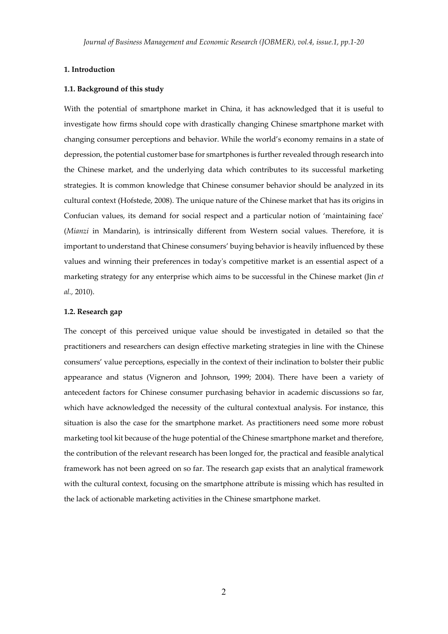#### **1. Introduction**

#### **1.1. Background of this study**

With the potential of smartphone market in China, it has acknowledged that it is useful to investigate how firms should cope with drastically changing Chinese smartphone market with changing consumer perceptions and behavior. While the world's economy remains in a state of depression, the potential customer base for smartphones is further revealed through research into the Chinese market, and the underlying data which contributes to its successful marketing strategies. It is common knowledge that Chinese consumer behavior should be analyzed in its cultural context (Hofstede, 2008). The unique nature of the Chinese market that has its origins in Confucian values, its demand for social respect and a particular notion of 'maintaining faceʹ (*Mianzi* in Mandarin), is intrinsically different from Western social values. Therefore, it is important to understand that Chinese consumers' buying behavior is heavily influenced by these values and winning their preferences in todayʹs competitive market is an essential aspect of a marketing strategy for any enterprise which aims to be successful in the Chinese market (Jin *et al.,* 2010).

#### **1.2. Research gap**

The concept of this perceived unique value should be investigated in detailed so that the practitioners and researchers can design effective marketing strategies in line with the Chinese consumers' value perceptions, especially in the context of their inclination to bolster their public appearance and status (Vigneron and Johnson, 1999; 2004). There have been a variety of antecedent factors for Chinese consumer purchasing behavior in academic discussions so far, which have acknowledged the necessity of the cultural contextual analysis. For instance, this situation is also the case for the smartphone market. As practitioners need some more robust marketing tool kit because of the huge potential of the Chinese smartphone market and therefore, the contribution of the relevant research has been longed for, the practical and feasible analytical framework has not been agreed on so far. The research gap exists that an analytical framework with the cultural context, focusing on the smartphone attribute is missing which has resulted in the lack of actionable marketing activities in the Chinese smartphone market.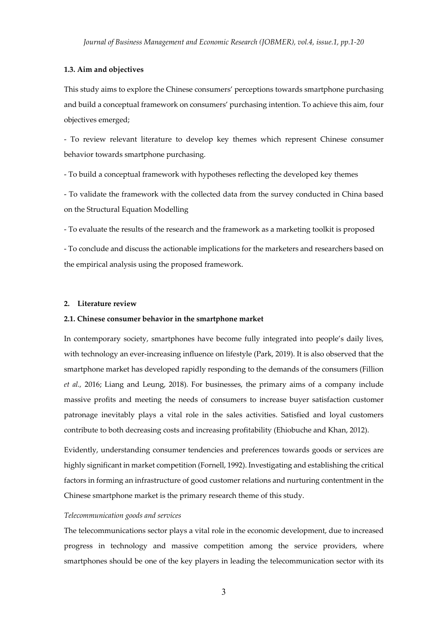#### **1.3. Aim and objectives**

This study aims to explore the Chinese consumers' perceptions towards smartphone purchasing and build a conceptual framework on consumers' purchasing intention. To achieve this aim, four objectives emerged;

‐ To review relevant literature to develop key themes which represent Chinese consumer behavior towards smartphone purchasing.

‐ To build a conceptual framework with hypotheses reflecting the developed key themes

‐ To validate the framework with the collected data from the survey conducted in China based on the Structural Equation Modelling

‐ To evaluate the results of the research and the framework as a marketing toolkit is proposed

‐ To conclude and discuss the actionable implications for the marketers and researchers based on the empirical analysis using the proposed framework.

#### **2. Literature review**

#### **2.1. Chinese consumer behavior in the smartphone market**

In contemporary society, smartphones have become fully integrated into people's daily lives, with technology an ever‐increasing influence on lifestyle (Park, 2019). It is also observed that the smartphone market has developed rapidly responding to the demands of the consumers (Fillion *et al.,* 2016; Liang and Leung, 2018). For businesses, the primary aims of a company include massive profits and meeting the needs of consumers to increase buyer satisfaction customer patronage inevitably plays a vital role in the sales activities. Satisfied and loyal customers contribute to both decreasing costs and increasing profitability (Ehiobuche and Khan, 2012).

Evidently, understanding consumer tendencies and preferences towards goods or services are highly significant in market competition (Fornell, 1992). Investigating and establishing the critical factors in forming an infrastructure of good customer relations and nurturing contentment in the Chinese smartphone market is the primary research theme of this study.

#### *Telecommunication goods and services*

The telecommunications sector plays a vital role in the economic development, due to increased progress in technology and massive competition among the service providers, where smartphones should be one of the key players in leading the telecommunication sector with its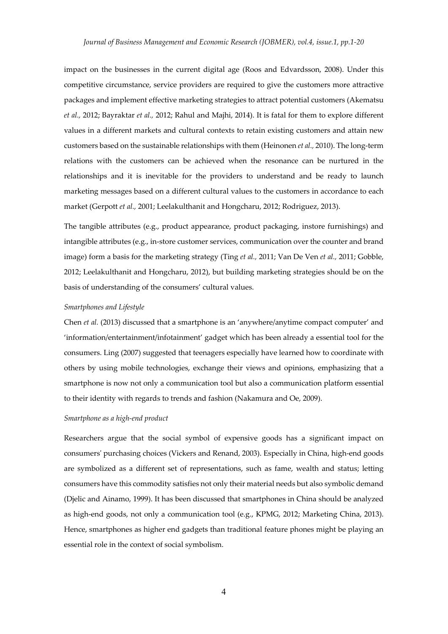impact on the businesses in the current digital age (Roos and Edvardsson, 2008). Under this competitive circumstance, service providers are required to give the customers more attractive packages and implement effective marketing strategies to attract potential customers (Akematsu *et al.,* 2012; Bayraktar *et al.,* 2012; Rahul and Majhi, 2014). It is fatal for them to explore different values in a different markets and cultural contexts to retain existing customers and attain new customers based on the sustainable relationships with them (Heinonen *et al.,* 2010). The long‐term relations with the customers can be achieved when the resonance can be nurtured in the relationships and it is inevitable for the providers to understand and be ready to launch marketing messages based on a different cultural values to the customers in accordance to each market (Gerpott *et al.,* 2001; Leelakulthanit and Hongcharu, 2012; Rodriguez, 2013).

The tangible attributes (e.g., product appearance, product packaging, instore furnishings) and intangible attributes (e.g., in‐store customer services, communication over the counter and brand image) form a basis for the marketing strategy (Ting *et al.,* 2011; Van De Ven *et al.,* 2011; Gobble, 2012; Leelakulthanit and Hongcharu, 2012), but building marketing strategies should be on the basis of understanding of the consumers' cultural values.

#### *Smartphones and Lifestyle*

Chen *et al.* (2013) discussed that a smartphone is an 'anywhere/anytime compact computer' and 'information/entertainment/infotainment' gadget which has been already a essential tool for the consumers. Ling (2007) suggested that teenagers especially have learned how to coordinate with others by using mobile technologies, exchange their views and opinions, emphasizing that a smartphone is now not only a communication tool but also a communication platform essential to their identity with regards to trends and fashion (Nakamura and Oe, 2009).

#### *Smartphone as a high‐end product*

Researchers argue that the social symbol of expensive goods has a significant impact on consumersʹ purchasing choices (Vickers and Renand, 2003). Especially in China, high‐end goods are symbolized as a different set of representations, such as fame, wealth and status; letting consumers have this commodity satisfies not only their material needs but also symbolic demand (Djelic and Ainamo, 1999). It has been discussed that smartphones in China should be analyzed as high-end goods, not only a communication tool (e.g., KPMG, 2012; Marketing China, 2013). Hence, smartphones as higher end gadgets than traditional feature phones might be playing an essential role in the context of social symbolism.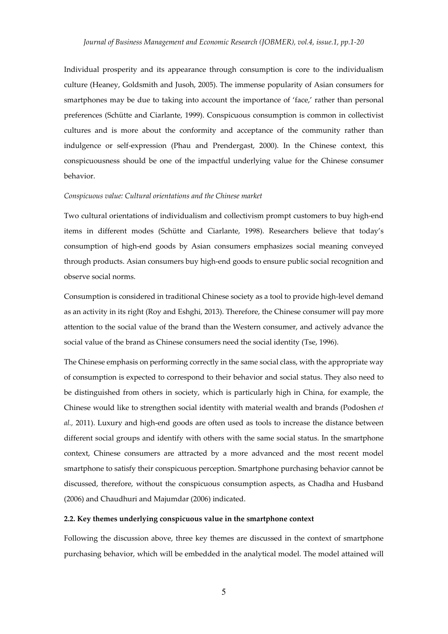Individual prosperity and its appearance through consumption is core to the individualism culture (Heaney, Goldsmith and Jusoh, 2005). The immense popularity of Asian consumers for smartphones may be due to taking into account the importance of 'face,' rather than personal preferences (Schütte and Ciarlante, 1999). Conspicuous consumption is common in collectivist cultures and is more about the conformity and acceptance of the community rather than indulgence or self‐expression (Phau and Prendergast, 2000). In the Chinese context, this conspicuousness should be one of the impactful underlying value for the Chinese consumer behavior.

#### *Conspicuous value: Cultural orientations and the Chinese market*

Two cultural orientations of individualism and collectivism prompt customers to buy high-end items in different modes (Schütte and Ciarlante, 1998). Researchers believe that today's consumption of high‐end goods by Asian consumers emphasizes social meaning conveyed through products. Asian consumers buy high‐end goods to ensure public social recognition and observe social norms.

Consumption is considered in traditional Chinese society as a tool to provide high‐level demand as an activity in its right (Roy and Eshghi, 2013). Therefore, the Chinese consumer will pay more attention to the social value of the brand than the Western consumer, and actively advance the social value of the brand as Chinese consumers need the social identity (Tse, 1996).

The Chinese emphasis on performing correctly in the same social class, with the appropriate way of consumption is expected to correspond to their behavior and social status. They also need to be distinguished from others in society, which is particularly high in China, for example, the Chinese would like to strengthen social identity with material wealth and brands (Podoshen *et al.,* 2011). Luxury and high-end goods are often used as tools to increase the distance between different social groups and identify with others with the same social status. In the smartphone context, Chinese consumers are attracted by a more advanced and the most recent model smartphone to satisfy their conspicuous perception. Smartphone purchasing behavior cannot be discussed, therefore, without the conspicuous consumption aspects, as Chadha and Husband (2006) and Chaudhuri and Majumdar (2006) indicated.

#### **2.2. Key themes underlying conspicuous value in the smartphone context**

Following the discussion above, three key themes are discussed in the context of smartphone purchasing behavior, which will be embedded in the analytical model. The model attained will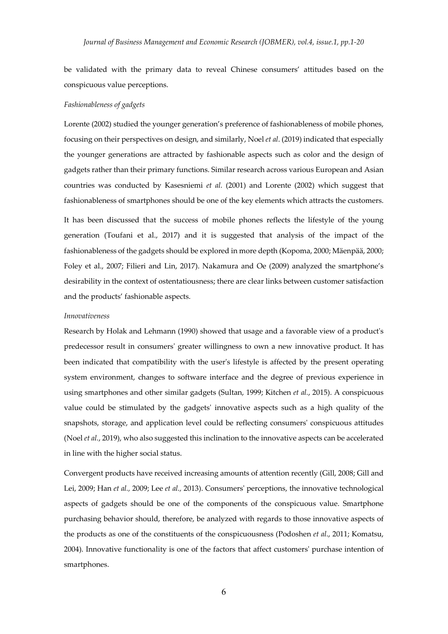be validated with the primary data to reveal Chinese consumers' attitudes based on the conspicuous value perceptions.

#### *Fashionableness of gadgets*

Lorente (2002) studied the younger generation's preference of fashionableness of mobile phones, focusing on their perspectives on design, and similarly, Noel *et al*. (2019) indicated that especially the younger generations are attracted by fashionable aspects such as color and the design of gadgets rather than their primary functions. Similar research across various European and Asian countries was conducted by Kasesniemi *et al.* (2001) and Lorente (2002) which suggest that fashionableness of smartphones should be one of the key elements which attracts the customers.

It has been discussed that the success of mobile phones reflects the lifestyle of the young generation (Toufani et al., 2017) and it is suggested that analysis of the impact of the fashionableness of the gadgets should be explored in more depth (Kopoma, 2000; Mäenpää, 2000; Foley et al., 2007; Filieri and Lin, 2017). Nakamura and Oe (2009) analyzed the smartphone's desirability in the context of ostentatiousness; there are clear links between customer satisfaction and the products' fashionable aspects.

#### *Innovativeness*

Research by Holak and Lehmann (1990) showed that usage and a favorable view of a product's predecessor result in consumersʹ greater willingness to own a new innovative product. It has been indicated that compatibility with the user's lifestyle is affected by the present operating system environment, changes to software interface and the degree of previous experience in using smartphones and other similar gadgets (Sultan, 1999; Kitchen *et al.*, 2015). A conspicuous value could be stimulated by the gadgetsʹ innovative aspects such as a high quality of the snapshots, storage, and application level could be reflecting consumersʹ conspicuous attitudes (Noel *et al.*, 2019), who also suggested this inclination to the innovative aspects can be accelerated in line with the higher social status.

Convergent products have received increasing amounts of attention recently (Gill, 2008; Gill and Lei, 2009; Han *et al.,* 2009; Lee *et al.,* 2013). Consumersʹ perceptions, the innovative technological aspects of gadgets should be one of the components of the conspicuous value. Smartphone purchasing behavior should, therefore, be analyzed with regards to those innovative aspects of the products as one of the constituents of the conspicuousness (Podoshen *et al*., 2011; Komatsu, 2004). Innovative functionality is one of the factors that affect customersʹ purchase intention of smartphones.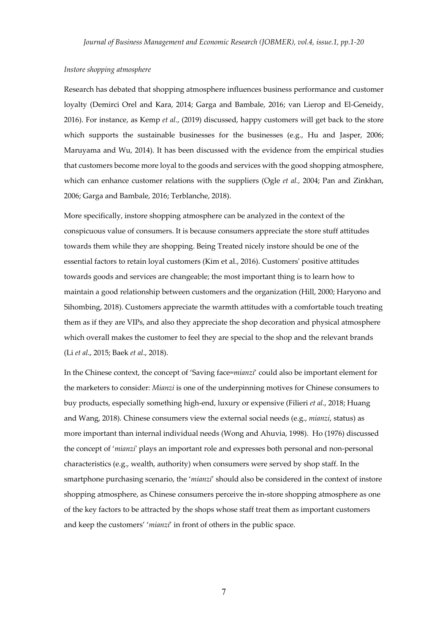#### *Instore shopping atmosphere*

Research has debated that shopping atmosphere influences business performance and customer loyalty (Demirci Orel and Kara, 2014; Garga and Bambale, 2016; van Lierop and El‐Geneidy, 2016). For instance, as Kemp *et al.*, (2019) discussed, happy customers will get back to the store which supports the sustainable businesses for the businesses (e.g., Hu and Jasper, 2006; Maruyama and Wu, 2014). It has been discussed with the evidence from the empirical studies that customers become more loyal to the goods and services with the good shopping atmosphere, which can enhance customer relations with the suppliers (Ogle *et al.,* 2004; Pan and Zinkhan, 2006; Garga and Bambale, 2016; Terblanche, 2018).

More specifically, instore shopping atmosphere can be analyzed in the context of the conspicuous value of consumers. It is because consumers appreciate the store stuff attitudes towards them while they are shopping. Being Treated nicely instore should be one of the essential factors to retain loyal customers (Kim et al., 2016). Customersʹ positive attitudes towards goods and services are changeable; the most important thing is to learn how to maintain a good relationship between customers and the organization (Hill, 2000; Haryono and Sihombing, 2018). Customers appreciate the warmth attitudes with a comfortable touch treating them as if they are VIPs, and also they appreciate the shop decoration and physical atmosphere which overall makes the customer to feel they are special to the shop and the relevant brands (Li *et al*., 2015; Baek *et al*., 2018).

In the Chinese context, the concept of 'Saving face=*mianzi*' could also be important element for the marketers to consider: *Mianzi* is one of the underpinning motives for Chinese consumers to buy products, especially something high‐end, luxury or expensive (Filieri *et al*., 2018; Huang and Wang, 2018). Chinese consumers view the external social needs (e.g., *mianzi*, status) as more important than internal individual needs (Wong and Ahuvia, 1998). Ho (1976) discussed the concept of '*mianzi*' plays an important role and expresses both personal and non-personal characteristics (e.g., wealth, authority) when consumers were served by shop staff. In the smartphone purchasing scenario, the '*mianzi*' should also be considered in the context of instore shopping atmosphere, as Chinese consumers perceive the in‐store shopping atmosphere as one of the key factors to be attracted by the shops whose staff treat them as important customers and keep the customers' '*mianzi*' in front of others in the public space.

7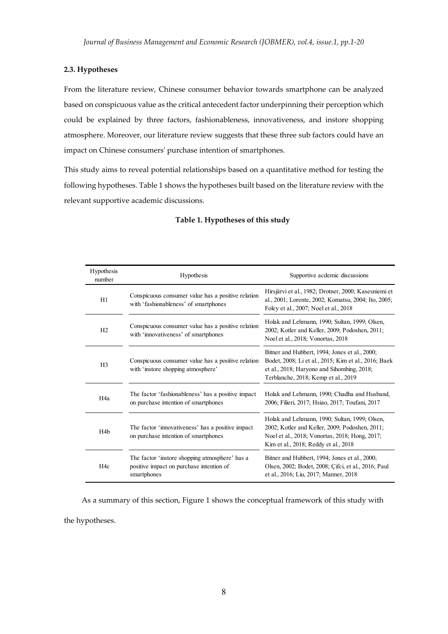#### **2.3. Hypotheses**

From the literature review, Chinese consumer behavior towards smartphone can be analyzed based on conspicuous value as the critical antecedent factor underpinning their perception which could be explained by three factors, fashionableness, innovativeness, and instore shopping atmosphere. Moreover, our literature review suggests that these three sub factors could have an impact on Chinese consumersʹ purchase intention of smartphones.

This study aims to reveal potential relationships based on a quantitative method for testing the following hypotheses. Table 1 shows the hypotheses built based on the literature review with the relevant supportive academic discussions.

| Hypothesis<br>number | <b>Hypothesis</b>                                                                                         | Supportive acdemic discussions                                                                                                                                                             |
|----------------------|-----------------------------------------------------------------------------------------------------------|--------------------------------------------------------------------------------------------------------------------------------------------------------------------------------------------|
| H1                   | Conspicuous consumer value has a positive relation<br>with 'fashionableness' of smartphones               | Hirsjärvi et al., 1982; Drotner, 2000; Kasesniemi et<br>al., 2001; Lorente, 2002; Komatsu, 2004; Ito, 2005;<br>Foley et al., 2007; Noel et al., 2018                                       |
| H2                   | Conspicuous consumer value has a positive relation<br>with 'innovativeness' of smartphones                | Holak and Lehmann, 1990; Sultan, 1999; Olsen,<br>2002; Kotler and Keller, 2009; Podoshen, 2011;<br>Noel et al., 2018; Vonortas, 2018                                                       |
| H <sub>3</sub>       | Conspicuous consumer value has a positive relation<br>with 'instore shopping atmosphere'                  | Bitner and Hubbert, 1994; Jones et al., 2000;<br>Bodet, 2008; Li et al., 2015; Kim et al., 2016; Baek<br>et al., 2018; Haryono and Sihombing, 2018;<br>Terblanche, 2018; Kemp et al., 2019 |
| H <sub>4</sub> a     | The factor 'fashionableness' has a positive impact<br>on purchase intention of smartphones                | Holak and Lehmann, 1990; Chadha and Husband,<br>2006; Filieri, 2017; Hsiao, 2017; Toufani, 2017                                                                                            |
| H <sub>4</sub> b     | The factor 'innovativeness' has a positive impact<br>on purchase intention of smartphones                 | Holak and Lehmann, 1990; Sultan, 1999; Olsen,<br>2002; Kotler and Keller, 2009; Podoshen, 2011;<br>Noel et al., 2018; Vonortas, 2018; Hong, 2017;<br>Kim et al., 2018; Reddy et al., 2018  |
| H <sub>4c</sub>      | The factor 'instore shopping atmosphere' has a<br>positive impact on purchase intention of<br>smartphones | Bitner and Hubbert, 1994; Jones et al., 2000;<br>Olsen, 2002; Bodet, 2008; Cifci, et al., 2016; Paul<br>et al., 2016; Liu, 2017; Manner, 2018                                              |

#### **Table 1. Hypotheses of this study**

As a summary of this section, Figure 1 shows the conceptual framework of this study with

the hypotheses.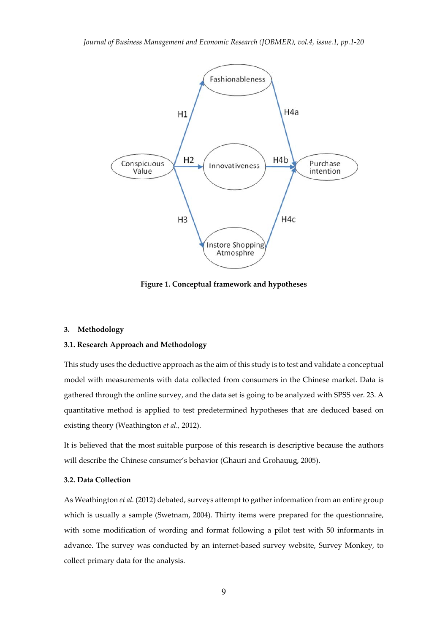

**Figure 1. Conceptual framework and hypotheses**

#### **3. Methodology**

### **3.1. Research Approach and Methodology**

This study uses the deductive approach as the aim of this study is to test and validate a conceptual model with measurements with data collected from consumers in the Chinese market. Data is gathered through the online survey, and the data set is going to be analyzed with SPSS ver. 23. A quantitative method is applied to test predetermined hypotheses that are deduced based on existing theory (Weathington *et al.,* 2012).

It is believed that the most suitable purpose of this research is descriptive because the authors will describe the Chinese consumer's behavior (Ghauri and Grohauug, 2005).

#### **3.2. Data Collection**

As Weathington *et al.* (2012) debated, surveys attempt to gather information from an entire group which is usually a sample (Swetnam, 2004). Thirty items were prepared for the questionnaire, with some modification of wording and format following a pilot test with 50 informants in advance. The survey was conducted by an internet‐based survey website, Survey Monkey, to collect primary data for the analysis.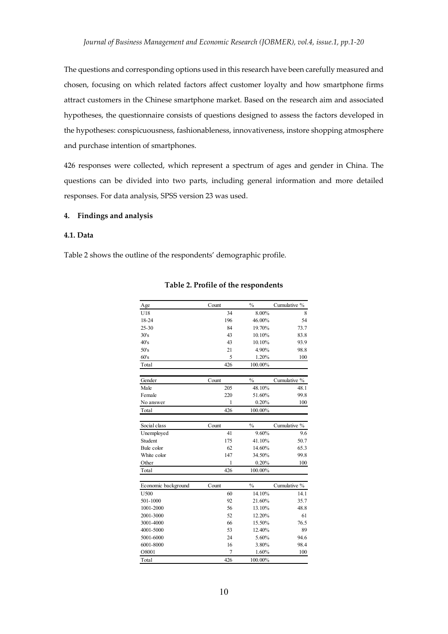The questions and corresponding options used in this research have been carefully measured and chosen, focusing on which related factors affect customer loyalty and how smartphone firms attract customers in the Chinese smartphone market. Based on the research aim and associated hypotheses, the questionnaire consists of questions designed to assess the factors developed in the hypotheses: conspicuousness, fashionableness, innovativeness, instore shopping atmosphere and purchase intention of smartphones.

426 responses were collected, which represent a spectrum of ages and gender in China. The questions can be divided into two parts, including general information and more detailed responses. For data analysis, SPSS version 23 was used.

#### **4. Findings and analysis**

#### **4.1. Data**

Table 2 shows the outline of the respondents' demographic profile.

| Age                         | Count | $\frac{0}{0}$ | Cumulative % |
|-----------------------------|-------|---------------|--------------|
| U18                         | 34    | 8.00%         | 8            |
| 18-24                       | 196   | 46.00%        | 54           |
| 25-30                       | 84    | 19.70%        | 73.7         |
| 30's                        | 43    | 10.10%        | 83.8         |
| 40's                        | 43    | 10.10%        | 93.9         |
| 50's                        | 21    | 4.90%         | 98.8         |
| 60's                        | 5     | 1.20%         | 100          |
| Total                       | 426   | 100.00%       |              |
| Gender                      | Count | $\frac{0}{0}$ | Cumulative % |
| Male                        | 205   | 48.10%        | 48.1         |
| Female                      | 220   | 51.60%        | 99.8         |
| No answer                   | 1     | 0.20%         | 100          |
| Total                       | 426   | 100.00%       |              |
|                             |       |               |              |
| Social class                | Count | $\frac{0}{0}$ | Cumulative % |
| Unemployed                  | 41    | 9.60%         | 9.6          |
| Student                     | 175   | 41.10%        | 50.7         |
| Bule color                  | 62    | 14.60%        | 65.3         |
| White color                 | 147   | 34.50%        | 99.8         |
| Other                       | 1     | 0.20%         | 100          |
| Total                       | 426   | 100.00%       |              |
|                             | Count | $\frac{0}{0}$ | Cumulative % |
| Economic background<br>U500 | 60    | 14.10%        | 14.1         |
| 501-1000                    | 92    | 21.60%        | 35.7         |
| 1001-2000                   | 56    | 13.10%        | 48.8         |
| 2001-3000                   | 52    | 12.20%        | 61           |
| 3001-4000                   | 66    | 15.50%        | 76.5         |
| 4001-5000                   | 53    | 12.40%        | 89           |
| 5001-6000                   | 24    | 5.60%         | 94.6         |
| 6001-8000                   | 16    | 3.80%         | 98.4         |
| O8001                       | 7     | 1.60%         | 100          |
| Total                       | 426   | 100.00%       |              |

#### **Table 2. Profile of the respondents**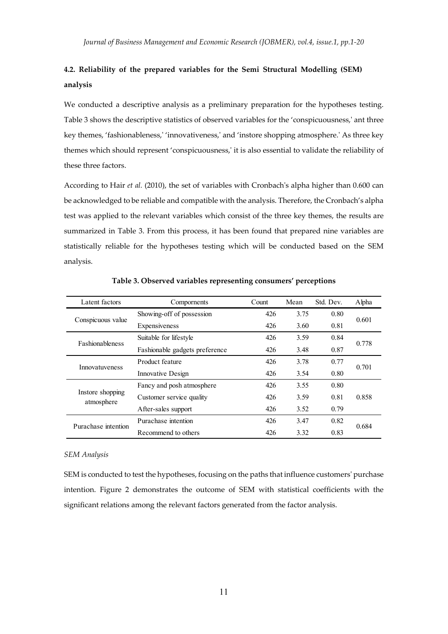## **4.2. Reliability of the prepared variables for the Semi Structural Modelling (SEM) analysis**

We conducted a descriptive analysis as a preliminary preparation for the hypotheses testing. Table 3 shows the descriptive statistics of observed variables for the 'conspicuousness,' ant three key themes, 'fashionableness,' 'innovativeness,' and 'instore shopping atmosphere.' As three key themes which should represent 'conspicuousness,ʹ it is also essential to validate the reliability of these three factors.

According to Hair *et al.* (2010), the set of variables with Cronbachʹs alpha higher than 0.600 can be acknowledged to be reliable and compatible with the analysis. Therefore, the Cronbach's alpha test was applied to the relevant variables which consist of the three key themes, the results are summarized in Table 3. From this process, it has been found that prepared nine variables are statistically reliable for the hypotheses testing which will be conducted based on the SEM analysis.

| Latent factors                 | Comportents                    | Count       | Mean | Std. Dev. | Alpha |
|--------------------------------|--------------------------------|-------------|------|-----------|-------|
|                                | Showing-off of possession      | 426         | 3.75 | 0.80      |       |
| Conspicuous value              | Expensiveness                  | 426<br>3.60 |      | 0.81      | 0.601 |
| <b>Fashionableness</b>         | Suitable for lifestyle         | 426         | 3.59 | 0.84      | 0.778 |
|                                | Fashionable gadgets preference | 426         | 3.48 | 0.87      |       |
| Innovatuveness                 | Product feature                | 426         | 3.78 | 0.77      |       |
|                                | Innovative Design              | 426<br>3.54 |      | 0.80      | 0.701 |
|                                | Fancy and posh atmosphere      | 426         | 3.55 | 0.80      |       |
| Instore shopping<br>atmosphere | Customer service quality       | 426         | 3.59 | 0.81      | 0.858 |
|                                | After-sales support            | 426         | 3.52 | 0.79      |       |
| Purachase intention            | Purachase intention            | 426         | 3.47 | 0.82      | 0.684 |
|                                | Recommend to others            | 426         | 3.32 | 0.83      |       |

**Table 3. Observed variables representing consumers' perceptions**

#### *SEM Analysis*

SEM is conducted to test the hypotheses, focusing on the paths that influence customers' purchase intention. Figure 2 demonstrates the outcome of SEM with statistical coefficients with the significant relations among the relevant factors generated from the factor analysis.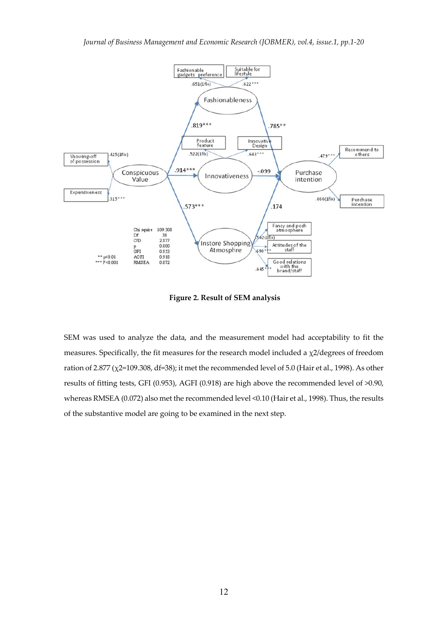

**Figure 2. Result of SEM analysis**

SEM was used to analyze the data, and the measurement model had acceptability to fit the measures. Specifically, the fit measures for the research model included a  $\chi$ 2/degrees of freedom ration of 2.877 (χ2=109.308, df=38); it met the recommended level of 5.0 (Hair et al., 1998). As other results of fitting tests, GFI (0.953), AGFI (0.918) are high above the recommended level of >0.90, whereas RMSEA (0.072) also met the recommended level <0.10 (Hair et al., 1998). Thus, the results of the substantive model are going to be examined in the next step.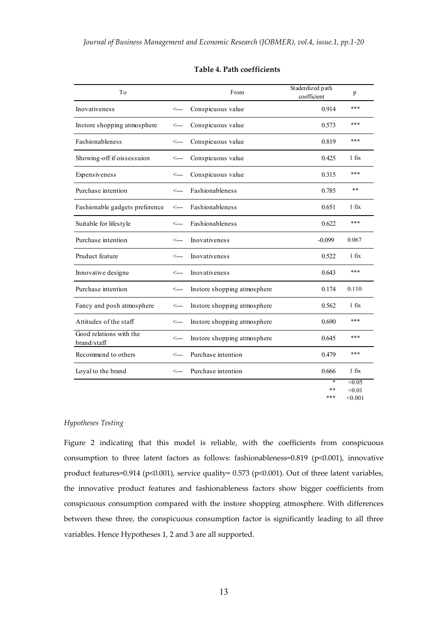| To                                     |              | From                        | Staderdized path<br>coefficient | p                                  |
|----------------------------------------|--------------|-----------------------------|---------------------------------|------------------------------------|
| <b>Inovativeness</b>                   | $\leftarrow$ | Conspicuous value           | 0.914                           | ***                                |
| Instore shopping atmosphere            | <---         | Conspicuous value           | 0.573                           | ***                                |
| <b>Fashionableness</b>                 | <---         | Conspicuous value           | 0.819                           | ***                                |
| Showing-off if oissessuion             | <---         | Conspicuous value           | 0.425                           | $1$ fix                            |
| Expensiveness                          | <---         | Conspicuous value           | 0.315                           | ***                                |
| Purchase intention                     | <---         | Fashionableness             | 0.785                           | $**$                               |
| Fashionable gadgets preference         | $\leftarrow$ | Fashionableness             | 0.651                           | $1$ fix                            |
| Suitable for lifestyle                 | $\leftarrow$ | Fashionableness             | 0.622                           | ***                                |
| Purchase intention                     | <---         | <b>Inovativeness</b>        | $-0.099$                        | 0.067                              |
| Pruduct feature                        | $\leftarrow$ | <b>Inovativeness</b>        | 0.522                           | $1$ fix                            |
| Innovative designe                     | <---         | Inovativeness               | 0.643                           | $* * *$                            |
| Purchase intention                     | $\leftarrow$ | Instore shopping atmosphere | 0.174                           | 0.110                              |
| Fancy and posh atmosphere              | $\leftarrow$ | Instore shopping atmosphere | 0.562                           | $1$ fix                            |
| Attitudes of the staff                 | <---         | Instore shopping atmosphere | 0.690                           | ***                                |
| Good relations with the<br>brand/staff | $\leftarrow$ | Instore shopping atmosphere | 0.645                           | ***                                |
| Recommend to others                    | $\leftarrow$ | Purchase intention          | 0.479                           | ***                                |
| Loyal to the brand                     | <---         | Purchase intention          | 0.666                           | $1$ fix                            |
|                                        |              |                             | $\ast$<br>**<br>***             | < 0.05<br>< 0.01<br>$< \!\! 0.001$ |

#### **Table 4. Path coefficients**

#### *Hypotheses Testing*

Figure 2 indicating that this model is reliable, with the coefficients from conspicuous consumption to three latent factors as follows: fashionableness=0.819 (p<0.001), innovative product features=0.914 (p<0.001), service quality= 0.573 (p<0.001). Out of three latent variables, the innovative product features and fashionableness factors show bigger coefficients from conspicuous consumption compared with the instore shopping atmosphere. With differences between these three, the conspicuous consumption factor is significantly leading to all three variables. Hence Hypotheses 1, 2 and 3 are all supported.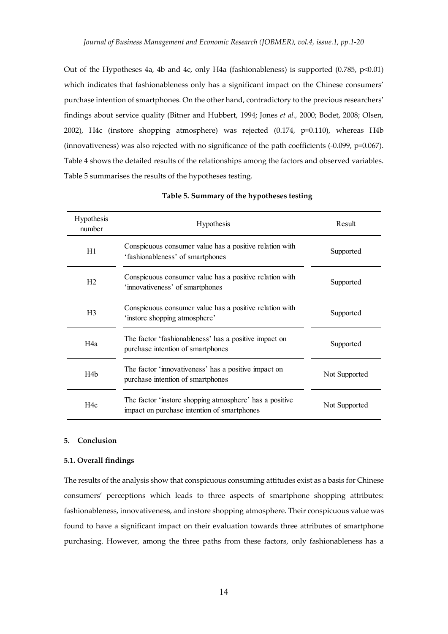Out of the Hypotheses 4a, 4b and 4c, only H4a (fashionableness) is supported (0.785, p<0.01) which indicates that fashionableness only has a significant impact on the Chinese consumers' purchase intention of smartphones. On the other hand, contradictory to the previous researchers' findings about service quality (Bitner and Hubbert, 1994; Jones *et al.,* 2000; Bodet, 2008; Olsen, 2002), H4c (instore shopping atmosphere) was rejected (0.174, p=0.110), whereas H4b (innovativeness) was also rejected with no significance of the path coefficients (‐0.099, p=0.067). Table 4 shows the detailed results of the relationships among the factors and observed variables. Table 5 summarises the results of the hypotheses testing.

| Hypothesis<br>number | Hypothesis                                                                                             | Result        |
|----------------------|--------------------------------------------------------------------------------------------------------|---------------|
| H1                   | Conspicuous consumer value has a positive relation with<br>'fashionableness' of smartphones            | Supported     |
| H2                   | Conspicuous consumer value has a positive relation with<br>'innovativeness' of smartphones             | Supported     |
| H <sub>3</sub>       | Conspicuous consumer value has a positive relation with<br>'instore shopping atmosphere'               | Supported     |
| H4a                  | The factor 'fashionableness' has a positive impact on<br>purchase intention of smartphones             | Supported     |
| H4 <sub>b</sub>      | The factor 'innovativeness' has a positive impact on<br>purchase intention of smartphones              | Not Supported |
| H4c                  | The factor 'instore shopping atmosphere' has a positive<br>impact on purchase intention of smartphones | Not Supported |

**Table 5. Summary of the hypotheses testing**

#### **5. Conclusion**

#### **5.1. Overall findings**

The results of the analysis show that conspicuous consuming attitudes exist as a basis for Chinese consumers' perceptions which leads to three aspects of smartphone shopping attributes: fashionableness, innovativeness, and instore shopping atmosphere. Their conspicuous value was found to have a significant impact on their evaluation towards three attributes of smartphone purchasing. However, among the three paths from these factors, only fashionableness has a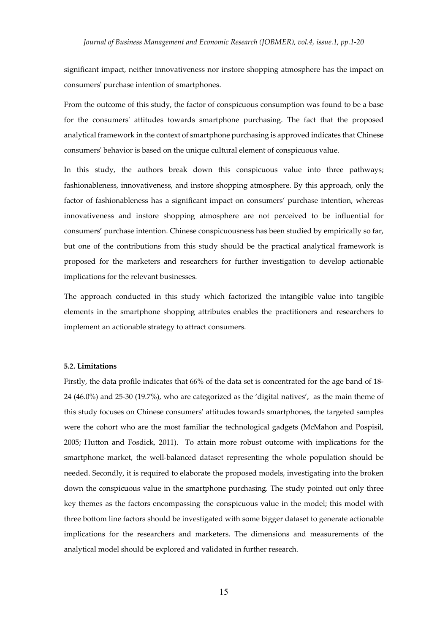significant impact, neither innovativeness nor instore shopping atmosphere has the impact on consumersʹ purchase intention of smartphones.

From the outcome of this study, the factor of conspicuous consumption was found to be a base for the consumersʹ attitudes towards smartphone purchasing. The fact that the proposed analytical framework in the context of smartphone purchasing is approved indicates that Chinese consumersʹ behavior is based on the unique cultural element of conspicuous value.

In this study, the authors break down this conspicuous value into three pathways; fashionableness, innovativeness, and instore shopping atmosphere. By this approach, only the factor of fashionableness has a significant impact on consumers' purchase intention, whereas innovativeness and instore shopping atmosphere are not perceived to be influential for consumers' purchase intention. Chinese conspicuousness has been studied by empirically so far, but one of the contributions from this study should be the practical analytical framework is proposed for the marketers and researchers for further investigation to develop actionable implications for the relevant businesses.

The approach conducted in this study which factorized the intangible value into tangible elements in the smartphone shopping attributes enables the practitioners and researchers to implement an actionable strategy to attract consumers.

#### **5.2. Limitations**

Firstly, the data profile indicates that 66% of the data set is concentrated for the age band of 18‐ 24 (46.0%) and 25‐30 (19.7%), who are categorized as the 'digital natives', as the main theme of this study focuses on Chinese consumers' attitudes towards smartphones, the targeted samples were the cohort who are the most familiar the technological gadgets (McMahon and Pospisil, 2005; Hutton and Fosdick, 2011). To attain more robust outcome with implications for the smartphone market, the well-balanced dataset representing the whole population should be needed. Secondly, it is required to elaborate the proposed models, investigating into the broken down the conspicuous value in the smartphone purchasing. The study pointed out only three key themes as the factors encompassing the conspicuous value in the model; this model with three bottom line factors should be investigated with some bigger dataset to generate actionable implications for the researchers and marketers. The dimensions and measurements of the analytical model should be explored and validated in further research.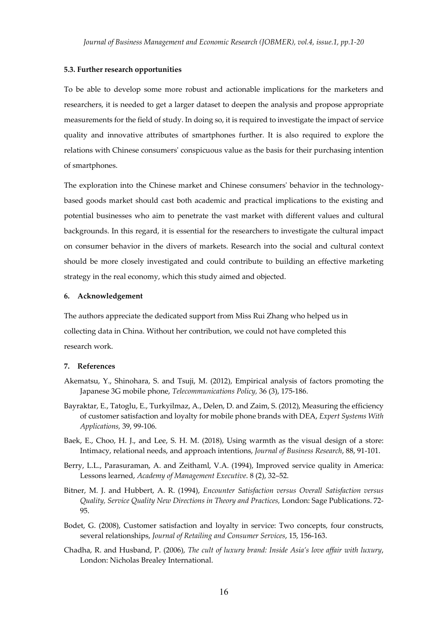#### **5.3. Further research opportunities**

To be able to develop some more robust and actionable implications for the marketers and researchers, it is needed to get a larger dataset to deepen the analysis and propose appropriate measurements for the field of study. In doing so, it is required to investigate the impact of service quality and innovative attributes of smartphones further. It is also required to explore the relations with Chinese consumersʹ conspicuous value as the basis for their purchasing intention of smartphones.

The exploration into the Chinese market and Chinese consumers' behavior in the technologybased goods market should cast both academic and practical implications to the existing and potential businesses who aim to penetrate the vast market with different values and cultural backgrounds. In this regard, it is essential for the researchers to investigate the cultural impact on consumer behavior in the divers of markets. Research into the social and cultural context should be more closely investigated and could contribute to building an effective marketing strategy in the real economy, which this study aimed and objected.

#### **6. Acknowledgement**

The authors appreciate the dedicated support from Miss Rui Zhang who helped us in collecting data in China. Without her contribution, we could not have completed this research work.

#### **7. References**

- Akematsu, Y., Shinohara, S. and Tsuji, M. (2012), Empirical analysis of factors promoting the Japanese 3G mobile phone, *Telecommunications Policy,* 36 (3), 175‐186.
- Bayraktar, E., Tatoglu, E., Turkyilmaz, A., Delen, D. and Zaim, S. (2012), Measuring the efficiency of customer satisfaction and loyalty for mobile phone brands with DEA, *Expert Systems With Applications,* 39, 99‐106.
- Baek, E., Choo, H. J., and Lee, S. H. M. (2018), Using warmth as the visual design of a store: Intimacy, relational needs, and approach intentions, *Journal of Business Research*, 88, 91‐101.
- Berry, L.L., Parasuraman, A. and Zeithaml, V.A. (1994), Improved service quality in America: Lessons learned, *Academy of Management Executive*. 8 (2), 32–52.
- Bitner, M. J. and Hubbert, A. R. (1994), *Encounter Satisfaction versus Overall Satisfaction versus Quality, Service Quality New Directions in Theory and Practices,* London: Sage Publications. 72‐ 95.
- Bodet, G. (2008), Customer satisfaction and loyalty in service: Two concepts, four constructs, several relationships, *Journal of Retailing and Consumer Services*, 15, 156‐163.
- Chadha, R. and Husband, P. (2006), *The cult of luxury brand: Inside Asia's love affair with luxury*, London: Nicholas Brealey International.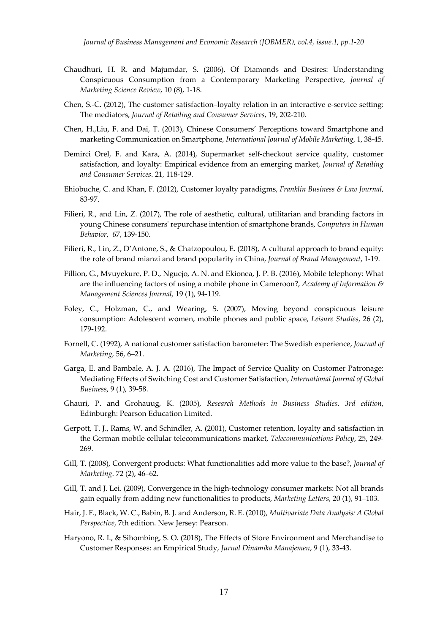- Chaudhuri, H. R. and Majumdar, S. (2006), Of Diamonds and Desires: Understanding Conspicuous Consumption from a Contemporary Marketing Perspective, *Journal of Marketing Science Review*, 10 (8), 1‐18.
- Chen, S.‐C. (2012), The customer satisfaction–loyalty relation in an interactive e‐service setting: The mediators, *Journal of Retailing and Consumer Services*, 19, 202‐210.
- Chen, H.,Liu, F. and Dai, T. (2013), Chinese Consumers' Perceptions toward Smartphone and marketing Communication on Smartphone, *International Journal of Mobile Marketing*, 1, 38‐45.
- Demirci Orel, F. and Kara, A. (2014), Supermarket self‐checkout service quality, customer satisfaction, and loyalty: Empirical evidence from an emerging market, *Journal of Retailing and Consumer Services*. 21, 118‐129.
- Ehiobuche, C. and Khan, F. (2012), Customer loyalty paradigms, *Franklin Business & Law Journal*, 83‐97.
- Filieri, R., and Lin, Z. (2017), The role of aesthetic, cultural, utilitarian and branding factors in young Chinese consumersʹ repurchase intention of smartphone brands, *Computers in Human Behavior*, 67, 139‐150.
- Filieri, R., Lin, Z., D'Antone, S., & Chatzopoulou, E. (2018), A cultural approach to brand equity: the role of brand mianzi and brand popularity in China, *Journal of Brand Management*, 1‐19.
- Fillion, G., Mvuyekure, P. D., Nguejo, A. N. and Ekionea, J. P. B. (2016), Mobile telephony: What are the influencing factors of using a mobile phone in Cameroon?, *Academy of Information & Management Sciences Journal,* 19 (1), 94‐119.
- Foley, C., Holzman, C., and Wearing, S. (2007), Moving beyond conspicuous leisure consumption: Adolescent women, mobile phones and public space, *Leisure Studies*, 26 (2), 179‐192.
- Fornell, C. (1992), A national customer satisfaction barometer: The Swedish experience, *Journal of Marketing*, 56, 6–21.
- Garga, E. and Bambale, A. J. A. (2016), The Impact of Service Quality on Customer Patronage: Mediating Effects of Switching Cost and Customer Satisfaction, *International Journal of Global Business*, 9 (1), 39‐58.
- Ghauri, P. and Grohauug, K. (2005), *Research Methods in Business Studies. 3rd edition*, Edinburgh: Pearson Education Limited.
- Gerpott, T. J., Rams, W. and Schindler, A. (2001), Customer retention, loyalty and satisfaction in the German mobile cellular telecommunications market, *Telecommunications Policy*, 25, 249‐ 269.
- Gill, T. (2008), Convergent products: What functionalities add more value to the base?, *Journal of Marketing*. 72 (2), 46–62.
- Gill, T. and J. Lei. (2009), Convergence in the high-technology consumer markets: Not all brands gain equally from adding new functionalities to products, *Marketing Letters*, 20 (1), 91–103.
- Hair, J. F., Black, W. C., Babin, B. J. and Anderson, R. E. (2010), *Multivariate Data Analysis: A Global Perspective*, 7th edition. New Jersey: Pearson.
- Haryono, R. I., & Sihombing, S. O. (2018), The Effects of Store Environment and Merchandise to Customer Responses: an Empirical Study, *Jurnal Dinamika Manajemen*, 9 (1), 33‐43.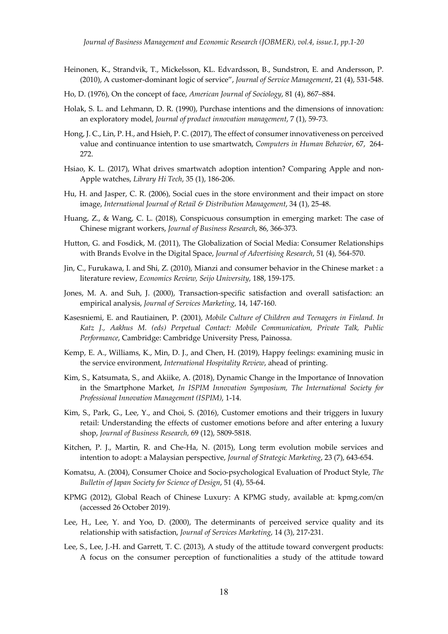- Heinonen, K., Strandvik, T., Mickelsson, KL. Edvardsson, B., Sundstron, E. and Andersson, P. (2010), A customer‐dominant logic of service", *Journal of Service Management*, 21 (4), 531‐548.
- Ho, D. (1976), On the concept of face, *American Journal of Sociology*, 81 (4), 867–884.
- Holak, S. L. and Lehmann, D. R. (1990), Purchase intentions and the dimensions of innovation: an exploratory model, *Journal of product innovation management*, 7 (1), 59‐73.
- Hong, J. C., Lin, P. H., and Hsieh, P. C. (2017), The effect of consumerinnovativeness on perceived value and continuance intention to use smartwatch, *Computers in Human Behavior*, 67, 264‐ 272.
- Hsiao, K. L. (2017), What drives smartwatch adoption intention? Comparing Apple and non-Apple watches, *Library Hi Tech*, 35 (1), 186‐206.
- Hu, H. and Jasper, C. R. (2006), Social cues in the store environment and their impact on store image, *International Journal of Retail & Distribution Management*, 34 (1), 25‐48.
- Huang, Z., & Wang, C. L. (2018), Conspicuous consumption in emerging market: The case of Chinese migrant workers, *Journal of Business Research*, 86, 366‐373.
- Hutton, G. and Fosdick, M. (2011), The Globalization of Social Media: Consumer Relationships with Brands Evolve in the Digital Space, *Journal of Advertising Research*, 51 (4), 564‐570.
- Jin, C., Furukawa, I. and Shi, Z. (2010), Mianzi and consumer behavior in the Chinese market : a literature review, *Economics Review, Seijo University*, 188, 159‐175.
- Jones, M. A. and Suh, J. (2000), Transaction‐specific satisfaction and overall satisfaction: an empirical analysis, *Journal of Services Marketing*, 14, 147‐160.
- Kasesniemi, E. and Rautiainen, P. (2001), *Mobile Culture of Children and Teenagers in Finland. In Katz J., Aakhus M. (eds) Perpetual Contact: Mobile Communication, Private Talk, Public Performance*, Cambridge: Cambridge University Press, Painossa.
- Kemp, E. A., Williams, K., Min, D. J., and Chen, H. (2019), Happy feelings: examining music in the service environment, *International Hospitality Review*, ahead of printing.
- Kim, S., Katsumata, S., and Akiike, A. (2018), Dynamic Change in the Importance of Innovation in the Smartphone Market, *In ISPIM Innovation Symposium, The International Society for Professional Innovation Management (ISPIM)*, 1‐14.
- Kim, S., Park, G., Lee, Y., and Choi, S. (2016), Customer emotions and their triggers in luxury retail: Understanding the effects of customer emotions before and after entering a luxury shop, *Journal of Business Research,* 69 (12), 5809‐5818.
- Kitchen, P. J., Martin, R. and Che‐Ha, N. (2015), Long term evolution mobile services and intention to adopt: a Malaysian perspective, *Journal of Strategic Marketing*, 23 (7), 643‐654.
- Komatsu, A. (2004), Consumer Choice and Socio‐psychological Evaluation of Product Style, *The Bulletin of Japan Society for Science of Design*, 51 (4), 55‐64.
- KPMG (2012), Global Reach of Chinese Luxury: A KPMG study, available at: kpmg.com/cn (accessed 26 October 2019).
- Lee, H., Lee, Y. and Yoo, D. (2000), The determinants of perceived service quality and its relationship with satisfaction, *Journal of Services Marketing*, 14 (3), 217‐231.
- Lee, S., Lee, J.-H. and Garrett, T. C. (2013), A study of the attitude toward convergent products: A focus on the consumer perception of functionalities a study of the attitude toward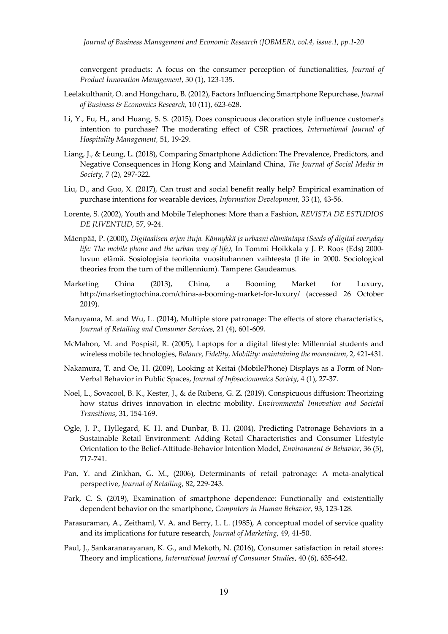convergent products: A focus on the consumer perception of functionalities, *Journal of Product Innovation Management*, 30 (1), 123‐135.

- Leelakulthanit, O. and Hongcharu, B. (2012), Factors Influencing Smartphone Repurchase, *Journal of Business & Economics Research*, 10 (11), 623‐628.
- Li, Y., Fu, H., and Huang, S. S. (2015), Does conspicuous decoration style influence customerʹs intention to purchase? The moderating effect of CSR practices, *International Journal of Hospitality Management,* 51, 19‐29.
- Liang, J., & Leung, L. (2018), Comparing Smartphone Addiction: The Prevalence, Predictors, and Negative Consequences in Hong Kong and Mainland China, *The Journal of Social Media in Society*, 7 (2), 297‐322.
- Liu, D., and Guo, X. (2017), Can trust and social benefit really help? Empirical examination of purchase intentions for wearable devices, *Information Development,* 33 (1), 43‐56.
- Lorente, S. (2002), Youth and Mobile Telephones: More than a Fashion, *REVISTA DE ESTUDIOS DE JUVENTUD*, 57, 9‐24.
- Mäenpää, P. (2000), *Digitaalisen arjen ituja. Kännykkä ja urbaani elämäntapa (Seeds of digital everyday life: The mobile phone and the urban way of life),* In Tommi Hoikkala y J. P. Roos (Eds) 2000‐ luvun elämä. Sosiologisia teorioita vuosituhannen vaihteesta (Life in 2000. Sociological theories from the turn of the millennium). Tampere: Gaudeamus.
- Marketing China (2013), China, a Booming Market for Luxury, http://marketingtochina.com/china‐a‐booming‐market‐for‐luxury/ (accessed 26 October 2019).
- Maruyama, M. and Wu, L. (2014), Multiple store patronage: The effects of store characteristics, *Journal of Retailing and Consumer Services*, 21 (4), 601‐609.
- McMahon, M. and Pospisil, R. (2005), Laptops for a digital lifestyle: Millennial students and wireless mobile technologies, *Balance, Fidelity, Mobility: maintaining the momentum*, 2, 421‐431.
- Nakamura, T. and Oe, H. (2009), Looking at Keitai (MobilePhone) Displays as a Form of Non‐ Verbal Behavior in Public Spaces, *Journal of Infosocionomics Society*, 4 (1), 27‐37.
- Noel, L., Sovacool, B. K., Kester, J., & de Rubens, G. Z. (2019). Conspicuous diffusion: Theorizing how status drives innovation in electric mobility. *Environmental Innovation and Societal Transitions*, 31, 154‐169.
- Ogle, J. P., Hyllegard, K. H. and Dunbar, B. H. (2004), Predicting Patronage Behaviors in a Sustainable Retail Environment: Adding Retail Characteristics and Consumer Lifestyle Orientation to the Belief‐Attitude‐Behavior Intention Model, *Environment & Behavior*, 36 (5), 717‐741.
- Pan, Y. and Zinkhan, G. M., (2006), Determinants of retail patronage: A meta-analytical perspective, *Journal of Retailing*, 82, 229‐243.
- Park, C. S. (2019), Examination of smartphone dependence: Functionally and existentially dependent behavior on the smartphone, *Computers in Human Behavior,* 93, 123‐128.
- Parasuraman, A., Zeithaml, V. A. and Berry, L. L. (1985), A conceptual model of service quality and its implications for future research, *Journal of Marketing*, 49, 41‐50.
- Paul, J., Sankaranarayanan, K. G., and Mekoth, N. (2016), Consumer satisfaction in retail stores: Theory and implications, *International Journal of Consumer Studies*, 40 (6), 635‐642.